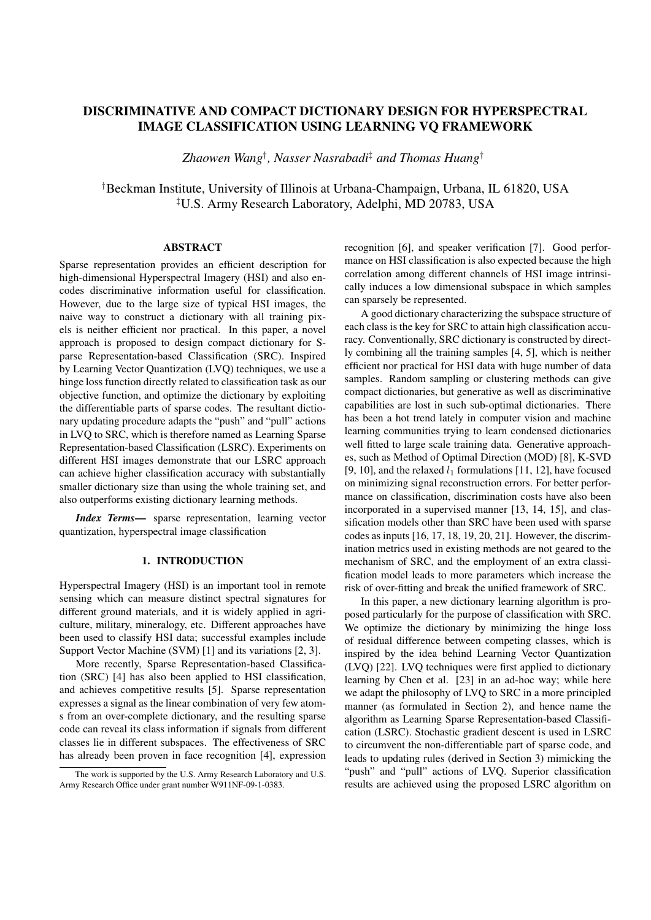# DISCRIMINATIVE AND COMPACT DICTIONARY DESIGN FOR HYPERSPECTRAL IMAGE CLASSIFICATION USING LEARNING VQ FRAMEWORK

*Zhaowen Wang† , Nasser Nasrabadi‡ and Thomas Huang†*

*†*Beckman Institute, University of Illinois at Urbana-Champaign, Urbana, IL 61820, USA *‡*U.S. Army Research Laboratory, Adelphi, MD 20783, USA

## ABSTRACT

Sparse representation provides an efficient description for high-dimensional Hyperspectral Imagery (HSI) and also encodes discriminative information useful for classification. However, due to the large size of typical HSI images, the naive way to construct a dictionary with all training pixels is neither efficient nor practical. In this paper, a novel approach is proposed to design compact dictionary for Sparse Representation-based Classification (SRC). Inspired by Learning Vector Quantization (LVQ) techniques, we use a hinge loss function directly related to classification task as our objective function, and optimize the dictionary by exploiting the differentiable parts of sparse codes. The resultant dictionary updating procedure adapts the "push" and "pull" actions in LVQ to SRC, which is therefore named as Learning Sparse Representation-based Classification (LSRC). Experiments on different HSI images demonstrate that our LSRC approach can achieve higher classification accuracy with substantially smaller dictionary size than using the whole training set, and also outperforms existing dictionary learning methods.

*Index Terms*— sparse representation, learning vector quantization, hyperspectral image classification

#### 1. INTRODUCTION

Hyperspectral Imagery (HSI) is an important tool in remote sensing which can measure distinct spectral signatures for different ground materials, and it is widely applied in agriculture, military, mineralogy, etc. Different approaches have been used to classify HSI data; successful examples include Support Vector Machine (SVM) [1] and its variations [2, 3].

More recently, Sparse Representation-based Classification (SRC) [4] has also been applied to HSI classification, and achieves competitive results [5]. Sparse representation expresses a signal as the linear combination of very few atoms from an over-complete dictionary, and the resulting sparse code can reveal its class information if signals from different classes lie in different subspaces. The effectiveness of SRC has already been proven in face recognition [4], expression recognition [6], and speaker verification [7]. Good performance on HSI classification is also expected because the high correlation among different channels of HSI image intrinsically induces a low dimensional subspace in which samples can sparsely be represented.

A good dictionary characterizing the subspace structure of each class is the key for SRC to attain high classification accuracy. Conventionally, SRC dictionary is constructed by directly combining all the training samples [4, 5], which is neither efficient nor practical for HSI data with huge number of data samples. Random sampling or clustering methods can give compact dictionaries, but generative as well as discriminative capabilities are lost in such sub-optimal dictionaries. There has been a hot trend lately in computer vision and machine learning communities trying to learn condensed dictionaries well fitted to large scale training data. Generative approaches, such as Method of Optimal Direction (MOD) [8], K-SVD [9, 10], and the relaxed  $l_1$  formulations [11, 12], have focused on minimizing signal reconstruction errors. For better performance on classification, discrimination costs have also been incorporated in a supervised manner [13, 14, 15], and classification models other than SRC have been used with sparse codes as inputs [16, 17, 18, 19, 20, 21]. However, the discrimination metrics used in existing methods are not geared to the mechanism of SRC, and the employment of an extra classification model leads to more parameters which increase the risk of over-fitting and break the unified framework of SRC.

In this paper, a new dictionary learning algorithm is proposed particularly for the purpose of classification with SRC. We optimize the dictionary by minimizing the hinge loss of residual difference between competing classes, which is inspired by the idea behind Learning Vector Quantization (LVQ) [22]. LVQ techniques were first applied to dictionary learning by Chen et al. [23] in an ad-hoc way; while here we adapt the philosophy of LVQ to SRC in a more principled manner (as formulated in Section 2), and hence name the algorithm as Learning Sparse Representation-based Classification (LSRC). Stochastic gradient descent is used in LSRC to circumvent the non-differentiable part of sparse code, and leads to updating rules (derived in Section 3) mimicking the "push" and "pull" actions of LVQ. Superior classification results are achieved using the proposed LSRC algorithm on

The work is supported by the U.S. Army Research Laboratory and U.S. Army Research Office under grant number W911NF-09-1-0383.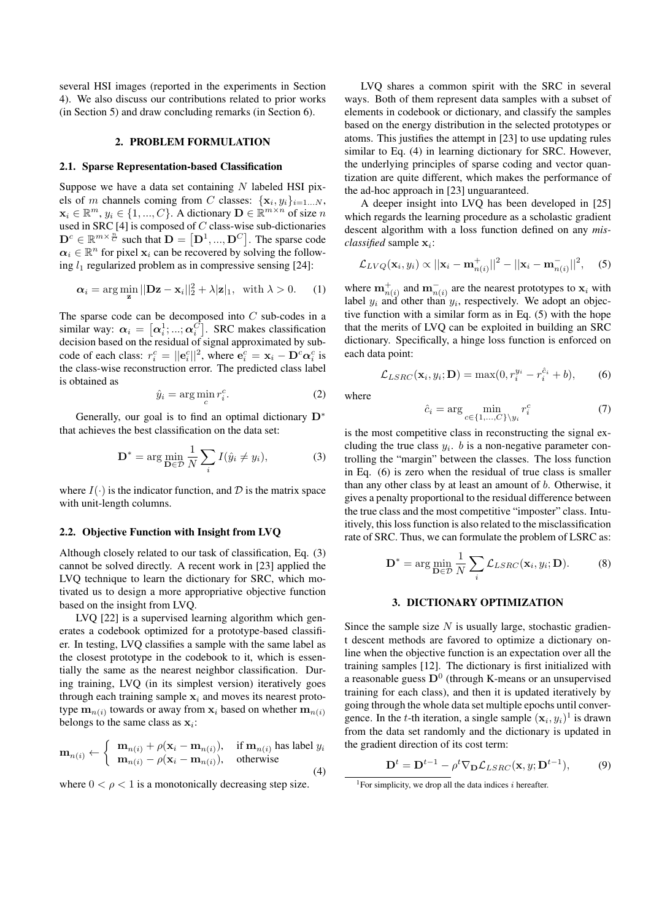several HSI images (reported in the experiments in Section 4). We also discuss our contributions related to prior works (in Section 5) and draw concluding remarks (in Section 6).

# 2. PROBLEM FORMULATION

## 2.1. Sparse Representation-based Classification

Suppose we have a data set containing *N* labeled HSI pixels of *m* channels coming from *C* classes:  $\{x_i, y_i\}_{i=1...N}$ ,  $\mathbf{x}_i \in \mathbb{R}^m$ ,  $y_i \in \{1, ..., C\}$ . A dictionary  $\mathbf{D} \in \mathbb{R}^{m \times n}$  of size *n* used in SRC [4] is composed of *C* class-wise sub-dictionaries  $\mathbf{D}^c \in \mathbb{R}^{m \times \frac{n}{C}}$  such that  $\mathbf{D} = [\mathbf{D}^1, ..., \mathbf{D}^C]$ . The sparse code  $\alpha_i \in \mathbb{R}^n$  for pixel  $\mathbf{x}_i$  can be recovered by solving the following  $l_1$  regularized problem as in compressive sensing [24]:

$$
\alpha_i = \arg\min_{\mathbf{z}} ||\mathbf{D}\mathbf{z} - \mathbf{x}_i||_2^2 + \lambda |\mathbf{z}|_1, \text{ with } \lambda > 0. \quad (1)
$$

The sparse code can be decomposed into *C* sub-codes in a similar way:  $\alpha_i = [\alpha_i^1; ...; \alpha_i^C]$ . SRC makes classification decision based on the residual of signal approximated by subcode of each class:  $r_i^c = ||\mathbf{e}_i^c||^2$ , where  $\mathbf{e}_i^c = \mathbf{x}_i - \mathbf{D}^c \alpha_i^c$  is the class-wise reconstruction error. The predicted class label is obtained as

$$
\hat{y}_i = \arg\min_c r_i^c. \tag{2}
$$

Generally, our goal is to find an optimal dictionary **D***<sup>∗</sup>* that achieves the best classification on the data set:

$$
\mathbf{D}^* = \arg\min_{\mathbf{D}\in\mathcal{D}} \frac{1}{N} \sum_i I(\hat{y}_i \neq y_i),\tag{3}
$$

where  $I(\cdot)$  is the indicator function, and  $D$  is the matrix space with unit-length columns.

#### 2.2. Objective Function with Insight from LVQ

Although closely related to our task of classification, Eq. (3) cannot be solved directly. A recent work in [23] applied the LVQ technique to learn the dictionary for SRC, which motivated us to design a more appropriative objective function based on the insight from LVQ.

LVQ [22] is a supervised learning algorithm which generates a codebook optimized for a prototype-based classifier. In testing, LVQ classifies a sample with the same label as the closest prototype in the codebook to it, which is essentially the same as the nearest neighbor classification. During training, LVQ (in its simplest version) iteratively goes through each training sample  $x_i$  and moves its nearest prototype  $\mathbf{m}_{n(i)}$  towards or away from  $\mathbf{x}_i$  based on whether  $\mathbf{m}_{n(i)}$ belongs to the same class as **x***<sup>i</sup>* :

$$
\mathbf{m}_{n(i)} \leftarrow \begin{cases} \mathbf{m}_{n(i)} + \rho(\mathbf{x}_i - \mathbf{m}_{n(i)}), & \text{if } \mathbf{m}_{n(i)} \text{ has label } y_i \\ \mathbf{m}_{n(i)} - \rho(\mathbf{x}_i - \mathbf{m}_{n(i)}), & \text{otherwise} \end{cases}
$$
(4)

where  $0 < \rho < 1$  is a monotonically decreasing step size.

LVQ shares a common spirit with the SRC in several ways. Both of them represent data samples with a subset of elements in codebook or dictionary, and classify the samples based on the energy distribution in the selected prototypes or atoms. This justifies the attempt in [23] to use updating rules similar to Eq. (4) in learning dictionary for SRC. However, the underlying principles of sparse coding and vector quantization are quite different, which makes the performance of the ad-hoc approach in [23] unguaranteed.

A deeper insight into LVQ has been developed in [25] which regards the learning procedure as a scholastic gradient descent algorithm with a loss function defined on any *misclassified* sample **x***<sup>i</sup>* :

$$
\mathcal{L}_{LVG}(\mathbf{x}_i, y_i) \propto ||\mathbf{x}_i - \mathbf{m}_{n(i)}^+||^2 - ||\mathbf{x}_i - \mathbf{m}_{n(i)}^-||^2,
$$
 (5)

where  $\mathbf{m}_{n(i)}^+$  and  $\mathbf{m}_{n(i)}^-$  are the nearest prototypes to  $\mathbf{x}_i$  with label  $y_i$  and other than  $y_i$ , respectively. We adopt an objective function with a similar form as in Eq. (5) with the hope that the merits of LVQ can be exploited in building an SRC dictionary. Specifically, a hinge loss function is enforced on each data point:

$$
\mathcal{L}_{LSRC}(\mathbf{x}_i, y_i; \mathbf{D}) = \max(0, r_i^{y_i} - r_i^{\hat{c}_i} + b),
$$
 (6)

where

$$
\hat{c}_i = \arg\min_{c \in \{1, \dots, C\} \setminus y_i} r_i^c \tag{7}
$$

is the most competitive class in reconstructing the signal excluding the true class  $y_i$ . *b* is a non-negative parameter controlling the "margin" between the classes. The loss function in Eq. (6) is zero when the residual of true class is smaller than any other class by at least an amount of *b*. Otherwise, it gives a penalty proportional to the residual difference between the true class and the most competitive "imposter" class. Intuitively, this loss function is also related to the misclassification rate of SRC. Thus, we can formulate the problem of LSRC as:

$$
\mathbf{D}^* = \arg\min_{\mathbf{D}\in\mathcal{D}} \frac{1}{N} \sum_i \mathcal{L}_{LSRC}(\mathbf{x}_i, y_i; \mathbf{D}).
$$
 (8)

# 3. DICTIONARY OPTIMIZATION

Since the sample size *N* is usually large, stochastic gradient descent methods are favored to optimize a dictionary online when the objective function is an expectation over all the training samples [12]. The dictionary is first initialized with a reasonable guess **D**<sup>0</sup> (through K-means or an unsupervised training for each class), and then it is updated iteratively by going through the whole data set multiple epochs until convergence. In the *t*-th iteration, a single sample  $(\mathbf{x}_i, y_i)$ <sup>1</sup> is drawn from the data set randomly and the dictionary is updated in the gradient direction of its cost term:

$$
\mathbf{D}^{t} = \mathbf{D}^{t-1} - \rho^t \nabla_{\mathbf{D}} \mathcal{L}_{LSRC}(\mathbf{x}, y; \mathbf{D}^{t-1}),
$$
 (9)

<sup>&</sup>lt;sup>1</sup>For simplicity, we drop all the data indices  $i$  hereafter.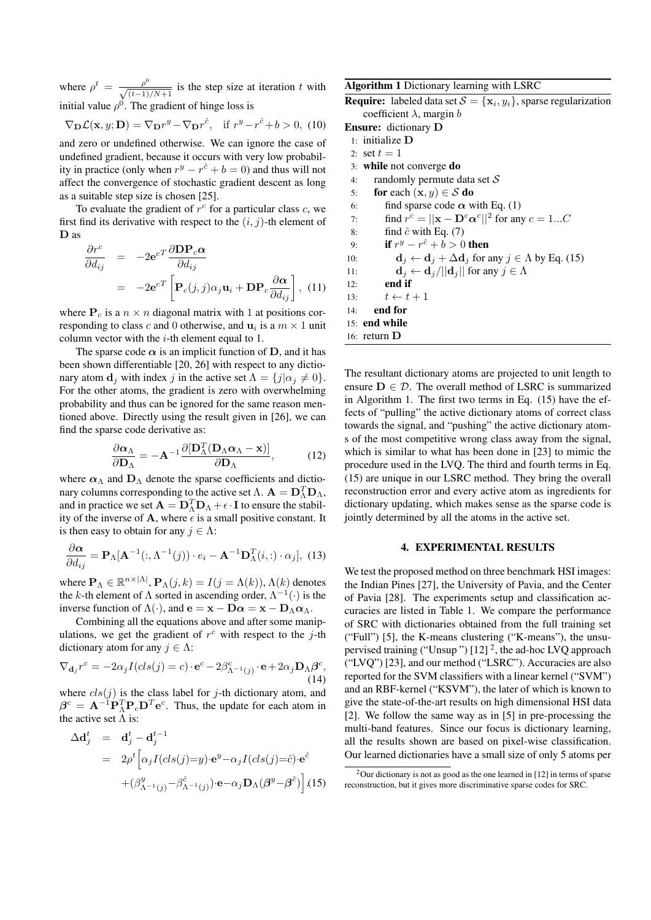where  $\rho^t = \frac{\rho^0}{\sqrt{(t-1)/N+1}}$  is the step size at iteration *t* with initial value  $\rho^0$ . The gradient of hinge loss is

$$
\nabla_{\mathbf{D}} \mathcal{L}(\mathbf{x}, y; \mathbf{D}) = \nabla_{\mathbf{D}} r^y - \nabla_{\mathbf{D}} r^{\hat{c}}, \quad \text{if } r^y - r^{\hat{c}} + b > 0, \tag{10}
$$

and zero or undefined otherwise. We can ignore the case of undefined gradient, because it occurs with very low probability in practice (only when  $r^y - r^{\hat{c}} + b = 0$ ) and thus will not affect the convergence of stochastic gradient descent as long as a suitable step size is chosen [25].

To evaluate the gradient of  $r^c$  for a particular class  $c$ , we first find its derivative with respect to the (*i, j*)-th element of **D** as

$$
\frac{\partial r^c}{\partial d_{ij}} = -2\mathbf{e}^{cT} \frac{\partial \mathbf{D} \mathbf{P}_c \alpha}{\partial d_{ij}}
$$

$$
= -2\mathbf{e}^{cT} \left[ \mathbf{P}_c(j,j) \alpha_j \mathbf{u}_i + \mathbf{D} \mathbf{P}_c \frac{\partial \alpha}{\partial d_{ij}} \right], (11)
$$

where  $P_c$  is a  $n \times n$  diagonal matrix with 1 at positions corresponding to class *c* and 0 otherwise, and  $\mathbf{u}_i$  is a  $m \times 1$  unit column vector with the *i*-th element equal to 1.

The sparse code  $\alpha$  is an implicit function of **D**, and it has been shown differentiable [20, 26] with respect to any dictionary atom **d**<sub>*j*</sub> with index *j* in the active set  $\Lambda = \{j | \alpha_j \neq 0\}$ . For the other atoms, the gradient is zero with overwhelming probability and thus can be ignored for the same reason mentioned above. Directly using the result given in [26], we can find the sparse code derivative as:

$$
\frac{\partial \alpha_{\Lambda}}{\partial \mathbf{D}_{\Lambda}} = -\mathbf{A}^{-1} \frac{\partial [\mathbf{D}_{\Lambda}^T (\mathbf{D}_{\Lambda} \alpha_{\Lambda} - \mathbf{x})]}{\partial \mathbf{D}_{\Lambda}}, \quad (12)
$$

where  $\alpha_{\Lambda}$  and  $D_{\Lambda}$  denote the sparse coefficients and dictionary columns corresponding to the active set  $\Lambda$ .  $\mathbf{A} = \mathbf{D}_{\Lambda}^T \mathbf{D}_{\Lambda}$ , and in practice we set  $\mathbf{A} = \mathbf{D}_{\Lambda}^T \mathbf{D}_{\Lambda} + \epsilon \cdot \mathbf{I}$  to ensure the stability of the inverse of **A**, where  $\epsilon$  is a small positive constant. It is then easy to obtain for any  $j \in \Lambda$ :

$$
\frac{\partial \alpha}{\partial d_{ij}} = \mathbf{P}_{\Lambda}[\mathbf{A}^{-1}(:, \Lambda^{-1}(j)) \cdot e_i - \mathbf{A}^{-1} \mathbf{D}_{\Lambda}^T(i,:) \cdot \alpha_j], \tag{13}
$$

where  $\mathbf{P}_{\Lambda} \in \mathbb{R}^{n \times |\Lambda|}$ ,  $\mathbf{P}_{\Lambda}(j,k) = I(j = \Lambda(k))$ ,  $\Lambda(k)$  denotes the *k*-th element of  $\Lambda$  sorted in ascending order,  $\Lambda^{-1}(\cdot)$  is the inverse function of  $\Lambda(\cdot)$ , and  $\mathbf{e} = \mathbf{x} - \mathbf{D}\alpha = \mathbf{x} - \mathbf{D}\alpha\alpha$ .

Combining all the equations above and after some manipulations, we get the gradient of  $r^c$  with respect to the *j*-th dictionary atom for any  $j \in \Lambda$ :

$$
\nabla_{\mathbf{d}_j} r^c = -2\alpha_j I(cls(j) = c) \cdot \mathbf{e}^c - 2\beta_{\Lambda^{-1}(j)}^c \cdot \mathbf{e} + 2\alpha_j \mathbf{D}_{\Lambda} \beta^c,
$$
\n(14)

where  $cls(j)$  is the class label for *j*-th dictionary atom, and  $\beta^c = \mathbf{A}^{-1} \mathbf{P}_{\Lambda}^T \mathbf{P}_c \mathbf{D}^T \mathbf{e}^c$ . Thus, the update for each atom in the active set  $\Lambda$  is:

$$
\Delta \mathbf{d}_{j}^{t} = \mathbf{d}_{j}^{t} - \mathbf{d}_{j}^{t-1}
$$
\n
$$
= 2\rho^{t} \Big[ \alpha_{j} I(cls(j)=y) \cdot \mathbf{e}^{y} - \alpha_{j} I(cls(j)=\hat{c}) \cdot \mathbf{e}^{\hat{c}}
$$
\n
$$
+ (\beta_{\Lambda^{-1}(j)}^{y} - \beta_{\Lambda^{-1}(j)}^{\hat{c}}) \cdot \mathbf{e} - \alpha_{j} \mathbf{D}_{\Lambda} (\beta^{y} - \beta^{\hat{c}}) \Big]. (15)
$$

Algorithm 1 Dictionary learning with LSRC

**Require:** labeled data set  $S = {\mathbf{x}_i, y_i}$ , sparse regularization coefficient *λ*, margin *b*

- Ensure: dictionary **D**
	- 1: initialize **D** 2: set  $t = 1$
- 3: while not converge do
- 4: randomly permute data set *S*
- 5: **for** each  $(\mathbf{x}, y) \in S$  **do**
- 6: find sparse code  $\alpha$  with Eq. (1)
- 7: find  $r^c = ||\mathbf{x} \mathbf{D}^c \alpha^c||^2$  for any  $c = 1...C$
- 8: find  $\hat{c}$  with Eq. (7)
- 9: **if**  $r^y r^{\hat{c}} + b > 0$  then
- 10: **d**<sub>*j*</sub>  $\leftarrow$  **d**<sub>*j*</sub>  $\leftarrow$  **d**<sub>*j*</sub>  $\leftarrow$  **d**<sub>*j*</sub> for any *j*  $\in$  *A* by Eq. (15)
- 11: **d**<sub>*j*</sub>  $\leftarrow$  **d**<sub>*j*</sub> $/$ ||**d**<sub>*j*</sub>|| for any *j*  $\in \Lambda$
- 12: end if
- 13:  $t \leftarrow t + 1$
- 14: end for
- 15: end while
- 16: return **D**

The resultant dictionary atoms are projected to unit length to ensure  $D \in \mathcal{D}$ . The overall method of LSRC is summarized in Algorithm 1. The first two terms in Eq. (15) have the effects of "pulling" the active dictionary atoms of correct class towards the signal, and "pushing" the active dictionary atoms of the most competitive wrong class away from the signal, which is similar to what has been done in [23] to mimic the procedure used in the LVQ. The third and fourth terms in Eq. (15) are unique in our LSRC method. They bring the overall reconstruction error and every active atom as ingredients for dictionary updating, which makes sense as the sparse code is jointly determined by all the atoms in the active set.

## 4. EXPERIMENTAL RESULTS

We test the proposed method on three benchmark HSI images: the Indian Pines [27], the University of Pavia, and the Center of Pavia [28]. The experiments setup and classification accuracies are listed in Table 1. We compare the performance of SRC with dictionaries obtained from the full training set ("Full") [5], the K-means clustering ("K-means"), the unsupervised training ("Unsup")  $[12]$ <sup>2</sup>, the ad-hoc LVQ approach ("LVQ") [23], and our method ("LSRC"). Accuracies are also reported for the SVM classifiers with a linear kernel ("SVM") and an RBF-kernel ("KSVM"), the later of which is known to give the state-of-the-art results on high dimensional HSI data [2]. We follow the same way as in [5] in pre-processing the multi-band features. Since our focus is dictionary learning, all the results shown are based on pixel-wise classification. Our learned dictionaries have a small size of only 5 atoms per

<sup>2</sup>Our dictionary is not as good as the one learned in [12] in terms of sparse reconstruction, but it gives more discriminative sparse codes for SRC.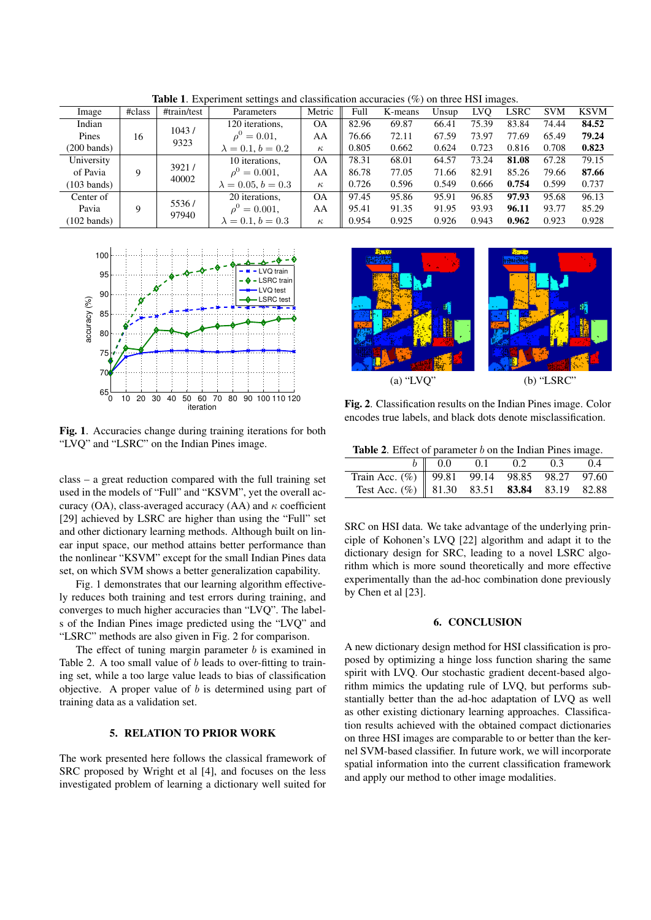| Image                 | #class              | #train/test              | Parameters                | Metric    | Full  | K-means | Unsup | LVO   | LSRC  | <b>SVM</b> | <b>KSVM</b> |
|-----------------------|---------------------|--------------------------|---------------------------|-----------|-------|---------|-------|-------|-------|------------|-------------|
| Indian                | 1043/<br>16<br>9323 |                          | 120 iterations.           | <b>OA</b> | 82.96 | 69.87   | 66.41 | 75.39 | 83.84 | 74.44      | 84.52       |
| Pines                 |                     |                          | $\rho^0 = 0.01$ ,         | AA        | 76.66 | 72.11   | 67.59 | 73.97 | 77.69 | 65.49      | 79.24       |
| $(200 \text{ bands})$ |                     | $\lambda = 0.1, b = 0.2$ | $\kappa$                  | 0.805     | 0.662 | 0.624   | 0.723 | 0.816 | 0.708 | 0.823      |             |
| University            | 9                   | 3921/<br>40002           | 10 iterations,            | <b>OA</b> | 78.31 | 68.01   | 64.57 | 73.24 | 81.08 | 67.28      | 79.15       |
| of Pavia              |                     |                          | $\rho^0$<br>$= 0.001$ ,   | AA        | 86.78 | 77.05   | 71.66 | 82.91 | 85.26 | 79.66      | 87.66       |
| $(103 \text{ bands})$ |                     |                          | $\lambda = 0.05, b = 0.3$ | $\kappa$  | 0.726 | 0.596   | 0.549 | 0.666 | 0.754 | 0.599      | 0.737       |
| Center of             | 9                   | 5536/<br>97940           | 20 iterations.            | <b>OA</b> | 97.45 | 95.86   | 95.91 | 96.85 | 97.93 | 95.68      | 96.13       |
| Pavia                 |                     |                          | $\rho^0$<br>$= 0.001$ ,   | AA        | 95.41 | 91.35   | 91.95 | 93.93 | 96.11 | 93.77      | 85.29       |
| $(102 \text{ bands})$ |                     |                          | $\lambda = 0.1, b = 0.3$  | $\kappa$  | 0.954 | 0.925   | 0.926 | 0.943 | 0.962 | 0.923      | 0.928       |

Table 1. Experiment settings and classification accuracies (%) on three HSI images.



Fig. 1. Accuracies change during training iterations for both "LVQ" and "LSRC" on the Indian Pines image.

class – a great reduction compared with the full training set used in the models of "Full" and "KSVM", yet the overall accuracy (OA), class-averaged accuracy (AA) and *κ* coefficient [29] achieved by LSRC are higher than using the "Full" set and other dictionary learning methods. Although built on linear input space, our method attains better performance than the nonlinear "KSVM" except for the small Indian Pines data set, on which SVM shows a better generalization capability.

Fig. 1 demonstrates that our learning algorithm effectively reduces both training and test errors during training, and converges to much higher accuracies than "LVQ". The labels of the Indian Pines image predicted using the "LVQ" and "LSRC" methods are also given in Fig. 2 for comparison.

The effect of tuning margin parameter *b* is examined in Table 2. A too small value of *b* leads to over-fitting to training set, while a too large value leads to bias of classification objective. A proper value of *b* is determined using part of training data as a validation set.

# 5. RELATION TO PRIOR WORK

The work presented here follows the classical framework of SRC proposed by Wright et al [4], and focuses on the less investigated problem of learning a dictionary well suited for



Fig. 2. Classification results on the Indian Pines image. Color encodes true labels, and black dots denote misclassification.

| Table 2. Effect of parameter $b$ on the Indian Pines image. |  |  |  |
|-------------------------------------------------------------|--|--|--|
|-------------------------------------------------------------|--|--|--|

|                                                       | $b \parallel 0.0$ 0.1 0.2 0.3 0.4 |  |  |
|-------------------------------------------------------|-----------------------------------|--|--|
| Train Acc. (%) 99.81 99.14 98.85 98.27 97.60          |                                   |  |  |
| Test Acc. $(\%)$ 81.30 83.51 <b>83.84</b> 83.19 82.88 |                                   |  |  |

SRC on HSI data. We take advantage of the underlying principle of Kohonen's LVQ [22] algorithm and adapt it to the dictionary design for SRC, leading to a novel LSRC algorithm which is more sound theoretically and more effective experimentally than the ad-hoc combination done previously by Chen et al [23].

#### 6. CONCLUSION

A new dictionary design method for HSI classification is proposed by optimizing a hinge loss function sharing the same spirit with LVQ. Our stochastic gradient decent-based algorithm mimics the updating rule of LVQ, but performs substantially better than the ad-hoc adaptation of LVQ as well as other existing dictionary learning approaches. Classification results achieved with the obtained compact dictionaries on three HSI images are comparable to or better than the kernel SVM-based classifier. In future work, we will incorporate spatial information into the current classification framework and apply our method to other image modalities.